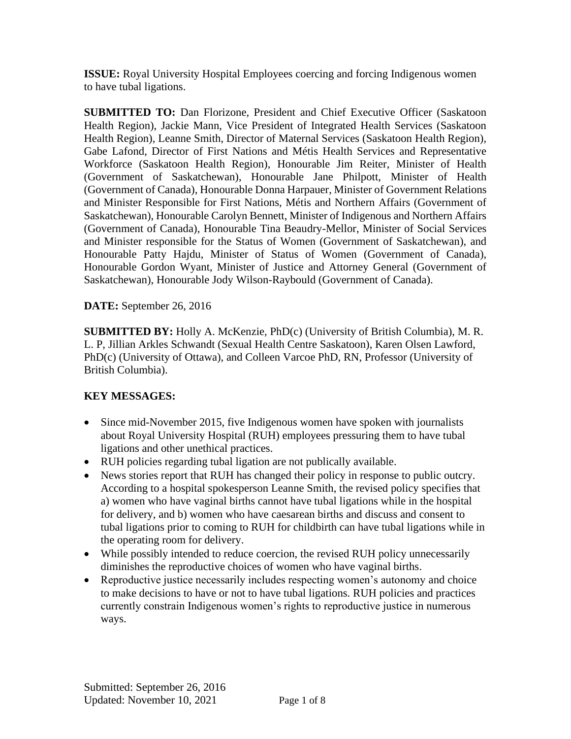**ISSUE:** Royal University Hospital Employees coercing and forcing Indigenous women to have tubal ligations.

**SUBMITTED TO:** Dan Florizone, President and Chief Executive Officer (Saskatoon Health Region), Jackie Mann, Vice President of Integrated Health Services (Saskatoon Health Region), Leanne Smith, Director of Maternal Services (Saskatoon Health Region), Gabe Lafond, Director of First Nations and Métis Health Services and Representative Workforce (Saskatoon Health Region), Honourable Jim Reiter, Minister of Health (Government of Saskatchewan), Honourable Jane Philpott, Minister of Health (Government of Canada), Honourable Donna Harpauer, Minister of Government Relations and Minister Responsible for First Nations, Métis and Northern Affairs (Government of Saskatchewan), Honourable Carolyn Bennett, Minister of Indigenous and Northern Affairs (Government of Canada), Honourable Tina Beaudry-Mellor, Minister of Social Services and Minister responsible for the Status of Women (Government of Saskatchewan), and Honourable Patty Hajdu, Minister of Status of Women (Government of Canada), Honourable Gordon Wyant, Minister of Justice and Attorney General (Government of Saskatchewan), Honourable Jody Wilson-Raybould (Government of Canada).

**DATE:** September 26, 2016

**SUBMITTED BY:** Holly A. McKenzie, PhD(c) (University of British Columbia), M. R. L. P, Jillian Arkles Schwandt (Sexual Health Centre Saskatoon), Karen Olsen Lawford, PhD(c) (University of Ottawa), and Colleen Varcoe PhD, RN, Professor (University of British Columbia).

## **KEY MESSAGES:**

- Since mid-November 2015, five Indigenous women have spoken with journalists about Royal University Hospital (RUH) employees pressuring them to have tubal ligations and other unethical practices.
- RUH policies regarding tubal ligation are not publically available.
- News stories report that RUH has changed their policy in response to public outcry. According to a hospital spokesperson Leanne Smith, the revised policy specifies that a) women who have vaginal births cannot have tubal ligations while in the hospital for delivery, and b) women who have caesarean births and discuss and consent to tubal ligations prior to coming to RUH for childbirth can have tubal ligations while in the operating room for delivery.
- While possibly intended to reduce coercion, the revised RUH policy unnecessarily diminishes the reproductive choices of women who have vaginal births.
- Reproductive justice necessarily includes respecting women's autonomy and choice to make decisions to have or not to have tubal ligations. RUH policies and practices currently constrain Indigenous women's rights to reproductive justice in numerous ways.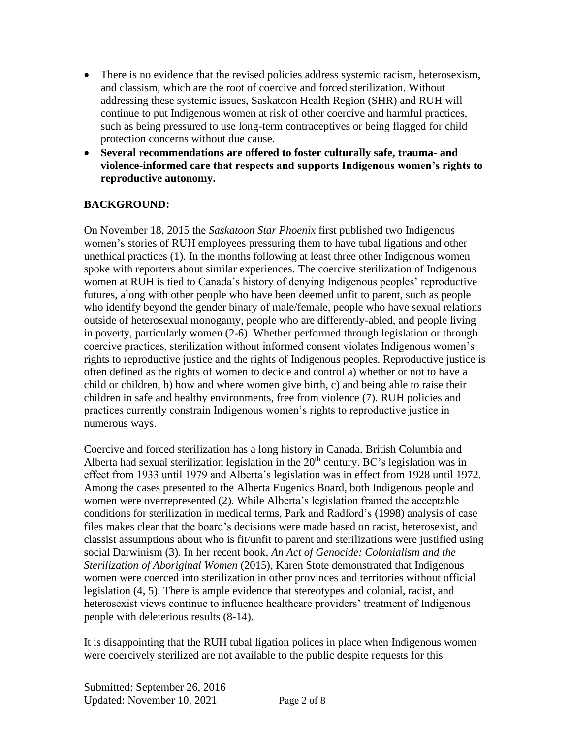- There is no evidence that the revised policies address systemic racism, heterosexism, and classism, which are the root of coercive and forced sterilization. Without addressing these systemic issues, Saskatoon Health Region (SHR) and RUH will continue to put Indigenous women at risk of other coercive and harmful practices, such as being pressured to use long-term contraceptives or being flagged for child protection concerns without due cause.
- **Several recommendations are offered to foster culturally safe, trauma- and violence-informed care that respects and supports Indigenous women's rights to reproductive autonomy.**

## **BACKGROUND:**

On November 18, 2015 the *Saskatoon Star Phoenix* first published two Indigenous women's stories of RUH employees pressuring them to have tubal ligations and other unethical practices (1). In the months following at least three other Indigenous women spoke with reporters about similar experiences. The coercive sterilization of Indigenous women at RUH is tied to Canada's history of denying Indigenous peoples' reproductive futures, along with other people who have been deemed unfit to parent, such as people who identify beyond the gender binary of male/female, people who have sexual relations outside of heterosexual monogamy, people who are differently-abled, and people living in poverty, particularly women (2-6). Whether performed through legislation or through coercive practices, sterilization without informed consent violates Indigenous women's rights to reproductive justice and the rights of Indigenous peoples. Reproductive justice is often defined as the rights of women to decide and control a) whether or not to have a child or children, b) how and where women give birth, c) and being able to raise their children in safe and healthy environments, free from violence (7). RUH policies and practices currently constrain Indigenous women's rights to reproductive justice in numerous ways.

Coercive and forced sterilization has a long history in Canada. British Columbia and Alberta had sexual sterilization legislation in the  $20<sup>th</sup>$  century. BC's legislation was in effect from 1933 until 1979 and Alberta's legislation was in effect from 1928 until 1972. Among the cases presented to the Alberta Eugenics Board, both Indigenous people and women were overrepresented (2). While Alberta's legislation framed the acceptable conditions for sterilization in medical terms, Park and Radford's (1998) analysis of case files makes clear that the board's decisions were made based on racist, heterosexist, and classist assumptions about who is fit/unfit to parent and sterilizations were justified using social Darwinism (3). In her recent book, *An Act of Genocide: Colonialism and the Sterilization of Aboriginal Women* (2015), Karen Stote demonstrated that Indigenous women were coerced into sterilization in other provinces and territories without official legislation (4, 5). There is ample evidence that stereotypes and colonial, racist, and heterosexist views continue to influence healthcare providers' treatment of Indigenous people with deleterious results (8-14).

It is disappointing that the RUH tubal ligation polices in place when Indigenous women were coercively sterilized are not available to the public despite requests for this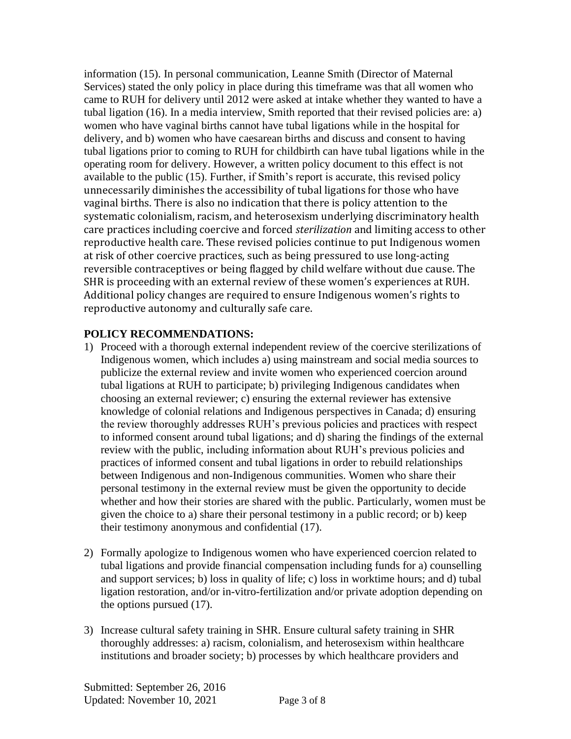information (15). In personal communication, Leanne Smith (Director of Maternal Services) stated the only policy in place during this timeframe was that all women who came to RUH for delivery until 2012 were asked at intake whether they wanted to have a tubal ligation (16). In a media interview, Smith reported that their revised policies are: a) women who have vaginal births cannot have tubal ligations while in the hospital for delivery, and b) women who have caesarean births and discuss and consent to having tubal ligations prior to coming to RUH for childbirth can have tubal ligations while in the operating room for delivery. However, a written policy document to this effect is not available to the public (15). Further, if Smith's report is accurate, this revised policy unnecessarily diminishes the accessibility of tubal ligations for those who have vaginal births. There is also no indication that there is policy attention to the systematic colonialism, racism, and heterosexism underlying discriminatory health care practices including coercive and forced *sterilization* and limiting access to other reproductive health care. These revised policies continue to put Indigenous women at risk of other coercive practices, such as being pressured to use long-acting reversible contraceptives or being flagged by child welfare without due cause. The SHR is proceeding with an external review of these women's experiences at RUH. Additional policy changes are required to ensure Indigenous women's rights to reproductive autonomy and culturally safe care.

## **POLICY RECOMMENDATIONS:**

- 1) Proceed with a thorough external independent review of the coercive sterilizations of Indigenous women, which includes a) using mainstream and social media sources to publicize the external review and invite women who experienced coercion around tubal ligations at RUH to participate; b) privileging Indigenous candidates when choosing an external reviewer; c) ensuring the external reviewer has extensive knowledge of colonial relations and Indigenous perspectives in Canada; d) ensuring the review thoroughly addresses RUH's previous policies and practices with respect to informed consent around tubal ligations; and d) sharing the findings of the external review with the public, including information about RUH's previous policies and practices of informed consent and tubal ligations in order to rebuild relationships between Indigenous and non-Indigenous communities. Women who share their personal testimony in the external review must be given the opportunity to decide whether and how their stories are shared with the public. Particularly, women must be given the choice to a) share their personal testimony in a public record; or b) keep their testimony anonymous and confidential (17).
- 2) Formally apologize to Indigenous women who have experienced coercion related to tubal ligations and provide financial compensation including funds for a) counselling and support services; b) loss in quality of life; c) loss in worktime hours; and d) tubal ligation restoration, and/or in-vitro-fertilization and/or private adoption depending on the options pursued (17).
- 3) Increase cultural safety training in SHR. Ensure cultural safety training in SHR thoroughly addresses: a) racism, colonialism, and heterosexism within healthcare institutions and broader society; b) processes by which healthcare providers and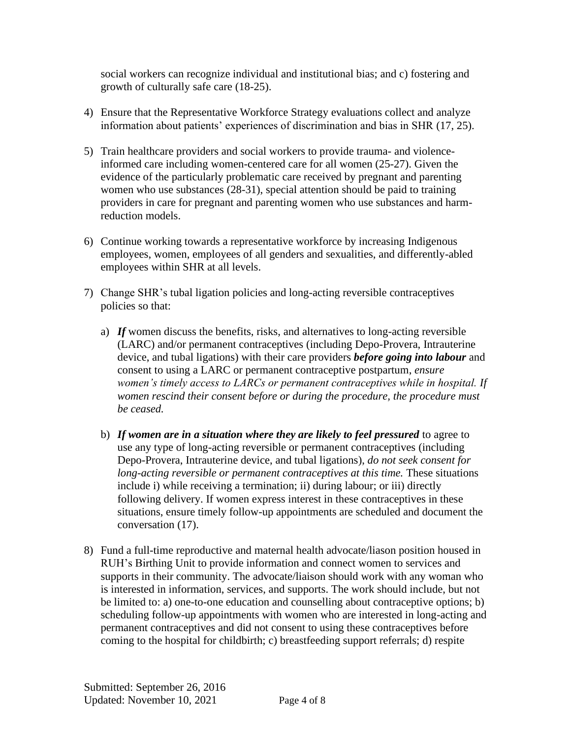social workers can recognize individual and institutional bias; and c) fostering and growth of culturally safe care (18-25).

- 4) Ensure that the Representative Workforce Strategy evaluations collect and analyze information about patients' experiences of discrimination and bias in SHR (17, 25).
- 5) Train healthcare providers and social workers to provide trauma- and violenceinformed care including women-centered care for all women (25-27). Given the evidence of the particularly problematic care received by pregnant and parenting women who use substances (28-31), special attention should be paid to training providers in care for pregnant and parenting women who use substances and harmreduction models.
- 6) Continue working towards a representative workforce by increasing Indigenous employees, women, employees of all genders and sexualities, and differently-abled employees within SHR at all levels.
- 7) Change SHR's tubal ligation policies and long-acting reversible contraceptives policies so that:
	- a) *If* women discuss the benefits, risks, and alternatives to long-acting reversible (LARC) and/or permanent contraceptives (including Depo-Provera, Intrauterine device, and tubal ligations) with their care providers *before going into labour* and consent to using a LARC or permanent contraceptive postpartum, *ensure women's timely access to LARCs or permanent contraceptives while in hospital. If women rescind their consent before or during the procedure, the procedure must be ceased.*
	- b) *If women are in a situation where they are likely to feel pressured* to agree to use any type of long-acting reversible or permanent contraceptives (including Depo-Provera, Intrauterine device, and tubal ligations), *do not seek consent for long-acting reversible or permanent contraceptives at this time. These situations* include i) while receiving a termination; ii) during labour; or iii) directly following delivery. If women express interest in these contraceptives in these situations, ensure timely follow-up appointments are scheduled and document the conversation (17).
- 8) Fund a full-time reproductive and maternal health advocate/liason position housed in RUH's Birthing Unit to provide information and connect women to services and supports in their community. The advocate/liaison should work with any woman who is interested in information, services, and supports. The work should include, but not be limited to: a) one-to-one education and counselling about contraceptive options; b) scheduling follow-up appointments with women who are interested in long-acting and permanent contraceptives and did not consent to using these contraceptives before coming to the hospital for childbirth; c) breastfeeding support referrals; d) respite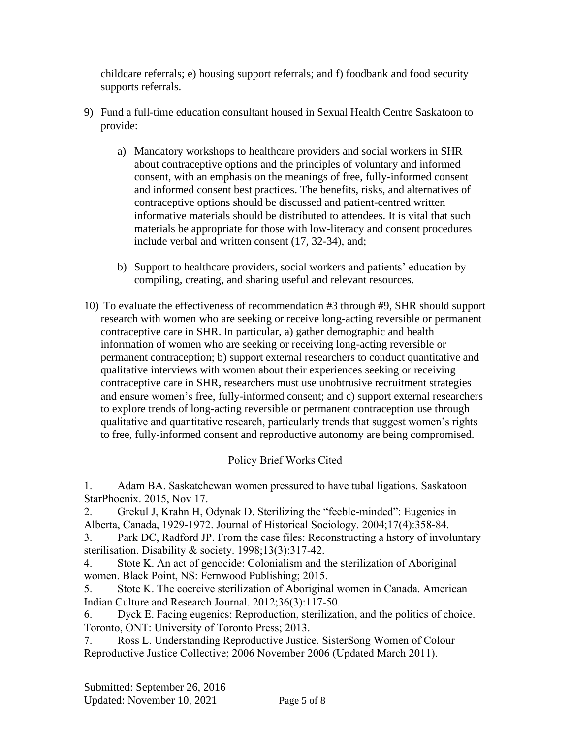childcare referrals; e) housing support referrals; and f) foodbank and food security supports referrals.

- 9) Fund a full-time education consultant housed in Sexual Health Centre Saskatoon to provide:
	- a) Mandatory workshops to healthcare providers and social workers in SHR about contraceptive options and the principles of voluntary and informed consent, with an emphasis on the meanings of free, fully-informed consent and informed consent best practices. The benefits, risks, and alternatives of contraceptive options should be discussed and patient-centred written informative materials should be distributed to attendees. It is vital that such materials be appropriate for those with low-literacy and consent procedures include verbal and written consent (17, 32-34), and;
	- b) Support to healthcare providers, social workers and patients' education by compiling, creating, and sharing useful and relevant resources.
- 10) To evaluate the effectiveness of recommendation #3 through #9, SHR should support research with women who are seeking or receive long-acting reversible or permanent contraceptive care in SHR. In particular, a) gather demographic and health information of women who are seeking or receiving long-acting reversible or permanent contraception; b) support external researchers to conduct quantitative and qualitative interviews with women about their experiences seeking or receiving contraceptive care in SHR, researchers must use unobtrusive recruitment strategies and ensure women's free, fully-informed consent; and c) support external researchers to explore trends of long-acting reversible or permanent contraception use through qualitative and quantitative research, particularly trends that suggest women's rights to free, fully-informed consent and reproductive autonomy are being compromised.

## Policy Brief Works Cited

1. Adam BA. Saskatchewan women pressured to have tubal ligations. Saskatoon StarPhoenix. 2015, Nov 17.

2. Grekul J, Krahn H, Odynak D. Sterilizing the "feeble-minded": Eugenics in Alberta, Canada, 1929-1972. Journal of Historical Sociology. 2004;17(4):358-84.

3. Park DC, Radford JP. From the case files: Reconstructing a hstory of involuntary sterilisation. Disability & society. 1998;13(3):317-42.

4. Stote K. An act of genocide: Colonialism and the sterilization of Aboriginal women. Black Point, NS: Fernwood Publishing; 2015.

5. Stote K. The coercive sterilization of Aboriginal women in Canada. American Indian Culture and Research Journal. 2012;36(3):117-50.

6. Dyck E. Facing eugenics: Reproduction, sterilization, and the politics of choice. Toronto, ONT: University of Toronto Press; 2013.

7. Ross L. Understanding Reproductive Justice. SisterSong Women of Colour Reproductive Justice Collective; 2006 November 2006 (Updated March 2011).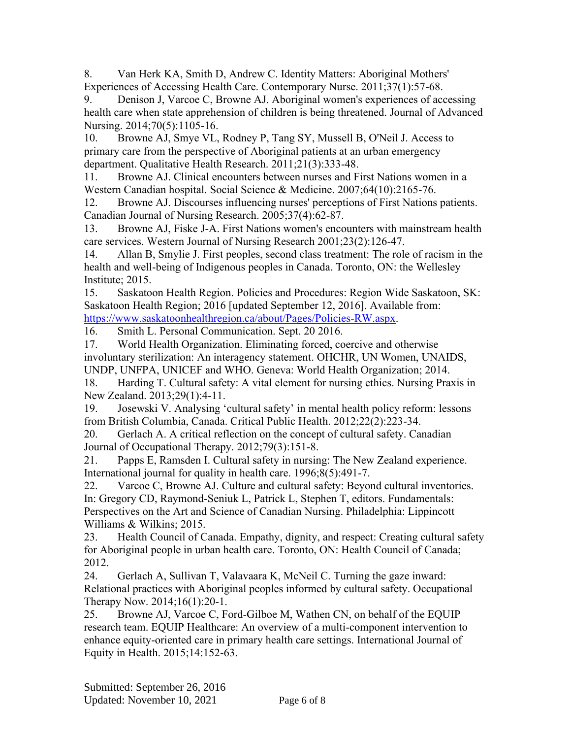8. Van Herk KA, Smith D, Andrew C. Identity Matters: Aboriginal Mothers' Experiences of Accessing Health Care. Contemporary Nurse. 2011;37(1):57-68.

9. Denison J, Varcoe C, Browne AJ. Aboriginal women's experiences of accessing health care when state apprehension of children is being threatened. Journal of Advanced Nursing. 2014;70(5):1105-16.

10. Browne AJ, Smye VL, Rodney P, Tang SY, Mussell B, O'Neil J. Access to primary care from the perspective of Aboriginal patients at an urban emergency department. Qualitative Health Research. 2011;21(3):333-48.

11. Browne AJ. Clinical encounters between nurses and First Nations women in a Western Canadian hospital. Social Science & Medicine. 2007;64(10):2165-76.

12. Browne AJ. Discourses influencing nurses' perceptions of First Nations patients. Canadian Journal of Nursing Research. 2005;37(4):62-87.

13. Browne AJ, Fiske J-A. First Nations women's encounters with mainstream health care services. Western Journal of Nursing Research 2001;23(2):126-47.

14. Allan B, Smylie J. First peoples, second class treatment: The role of racism in the health and well-being of Indigenous peoples in Canada. Toronto, ON: the Wellesley Institute; 2015.

15. Saskatoon Health Region. Policies and Procedures: Region Wide Saskatoon, SK: Saskatoon Health Region; 2016 [updated September 12, 2016]. Available from: [https://www.saskatoonhealthregion.ca/about/Pages/Policies-RW.aspx.](https://www.saskatoonhealthregion.ca/about/Pages/Policies-RW.aspx)

16. Smith L. Personal Communication. Sept. 20 2016.

17. World Health Organization. Eliminating forced, coercive and otherwise involuntary sterilization: An interagency statement. OHCHR, UN Women, UNAIDS, UNDP, UNFPA, UNICEF and WHO. Geneva: World Health Organization; 2014.

18. Harding T. Cultural safety: A vital element for nursing ethics. Nursing Praxis in New Zealand. 2013;29(1):4-11.

19. Josewski V. Analysing 'cultural safety' in mental health policy reform: lessons from British Columbia, Canada. Critical Public Health. 2012;22(2):223-34.

20. Gerlach A. A critical reflection on the concept of cultural safety. Canadian Journal of Occupational Therapy. 2012;79(3):151-8.

21. Papps E, Ramsden I. Cultural safety in nursing: The New Zealand experience. International journal for quality in health care. 1996;8(5):491-7.

22. Varcoe C, Browne AJ. Culture and cultural safety: Beyond cultural inventories. In: Gregory CD, Raymond-Seniuk L, Patrick L, Stephen T, editors. Fundamentals: Perspectives on the Art and Science of Canadian Nursing. Philadelphia: Lippincott Williams & Wilkins; 2015.

23. Health Council of Canada. Empathy, dignity, and respect: Creating cultural safety for Aboriginal people in urban health care. Toronto, ON: Health Council of Canada; 2012.

24. Gerlach A, Sullivan T, Valavaara K, McNeil C. Turning the gaze inward: Relational practices with Aboriginal peoples informed by cultural safety. Occupational Therapy Now. 2014;16(1):20-1.

25. Browne AJ, Varcoe C, Ford-Gilboe M, Wathen CN, on behalf of the EQUIP research team. EQUIP Healthcare: An overview of a multi-component intervention to enhance equity-oriented care in primary health care settings. International Journal of Equity in Health. 2015;14:152-63.